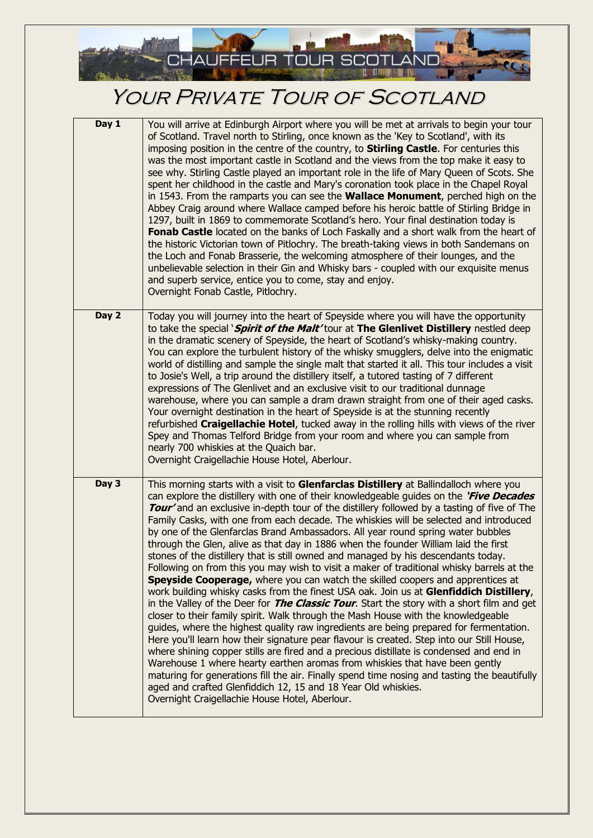

## YOUR PRIVATE TOUR OF SCOTLAND

| Day 1 | You will arrive at Edinburgh Airport where you will be met at arrivals to begin your tour<br>of Scotland. Travel north to Stirling, once known as the 'Key to Scotland', with its<br>imposing position in the centre of the country, to <b>Stirling Castle</b> . For centuries this<br>was the most important castle in Scotland and the views from the top make it easy to<br>see why. Stirling Castle played an important role in the life of Mary Queen of Scots. She<br>spent her childhood in the castle and Mary's coronation took place in the Chapel Royal<br>in 1543. From the ramparts you can see the <b>Wallace Monument</b> , perched high on the<br>Abbey Craig around where Wallace camped before his heroic battle of Stirling Bridge in<br>1297, built in 1869 to commemorate Scotland's hero. Your final destination today is<br>Fonab Castle located on the banks of Loch Faskally and a short walk from the heart of<br>the historic Victorian town of Pitlochry. The breath-taking views in both Sandemans on<br>the Loch and Fonab Brasserie, the welcoming atmosphere of their lounges, and the<br>unbelievable selection in their Gin and Whisky bars - coupled with our exquisite menus<br>and superb service, entice you to come, stay and enjoy.<br>Overnight Fonab Castle, Pitlochry.                                                                                                                                                                                                                                                                                                                                                                                     |
|-------|-------------------------------------------------------------------------------------------------------------------------------------------------------------------------------------------------------------------------------------------------------------------------------------------------------------------------------------------------------------------------------------------------------------------------------------------------------------------------------------------------------------------------------------------------------------------------------------------------------------------------------------------------------------------------------------------------------------------------------------------------------------------------------------------------------------------------------------------------------------------------------------------------------------------------------------------------------------------------------------------------------------------------------------------------------------------------------------------------------------------------------------------------------------------------------------------------------------------------------------------------------------------------------------------------------------------------------------------------------------------------------------------------------------------------------------------------------------------------------------------------------------------------------------------------------------------------------------------------------------------------------------------------------------------------------------------------------|
| Day 2 | Today you will journey into the heart of Speyside where you will have the opportunity<br>to take the special `Spirit of the Malt' tour at The Glenlivet Distillery nestled deep<br>in the dramatic scenery of Speyside, the heart of Scotland's whisky-making country.<br>You can explore the turbulent history of the whisky smugglers, delve into the enigmatic<br>world of distilling and sample the single malt that started it all. This tour includes a visit<br>to Josie's Well, a trip around the distillery itself, a tutored tasting of 7 different<br>expressions of The Glenlivet and an exclusive visit to our traditional dunnage<br>warehouse, where you can sample a dram drawn straight from one of their aged casks.<br>Your overnight destination in the heart of Speyside is at the stunning recently<br>refurbished Craigellachie Hotel, tucked away in the rolling hills with views of the river<br>Spey and Thomas Telford Bridge from your room and where you can sample from<br>nearly 700 whiskies at the Quaich bar.<br>Overnight Craigellachie House Hotel, Aberlour.                                                                                                                                                                                                                                                                                                                                                                                                                                                                                                                                                                                                     |
| Day 3 | This morning starts with a visit to Glenfarclas Distillery at Ballindalloch where you<br>can explore the distillery with one of their knowledgeable guides on the <i>Five Decades</i><br>Tour' and an exclusive in-depth tour of the distillery followed by a tasting of five of The<br>Family Casks, with one from each decade. The whiskies will be selected and introduced<br>by one of the Glenfarclas Brand Ambassadors. All year round spring water bubbles<br>through the Glen, alive as that day in 1886 when the founder William laid the first<br>stones of the distillery that is still owned and managed by his descendants today.<br>Following on from this you may wish to visit a maker of traditional whisky barrels at the<br>Speyside Cooperage, where you can watch the skilled coopers and apprentices at<br>work building whisky casks from the finest USA oak. Join us at Glenfiddich Distillery,<br>in the Valley of the Deer for <i>The Classic Tour</i> . Start the story with a short film and get<br>closer to their family spirit. Walk through the Mash House with the knowledgeable<br>guides, where the highest quality raw ingredients are being prepared for fermentation.<br>Here you'll learn how their signature pear flavour is created. Step into our Still House,<br>where shining copper stills are fired and a precious distillate is condensed and end in<br>Warehouse 1 where hearty earthen aromas from whiskies that have been gently<br>maturing for generations fill the air. Finally spend time nosing and tasting the beautifully<br>aged and crafted Glenfiddich 12, 15 and 18 Year Old whiskies.<br>Overnight Craigellachie House Hotel, Aberlour. |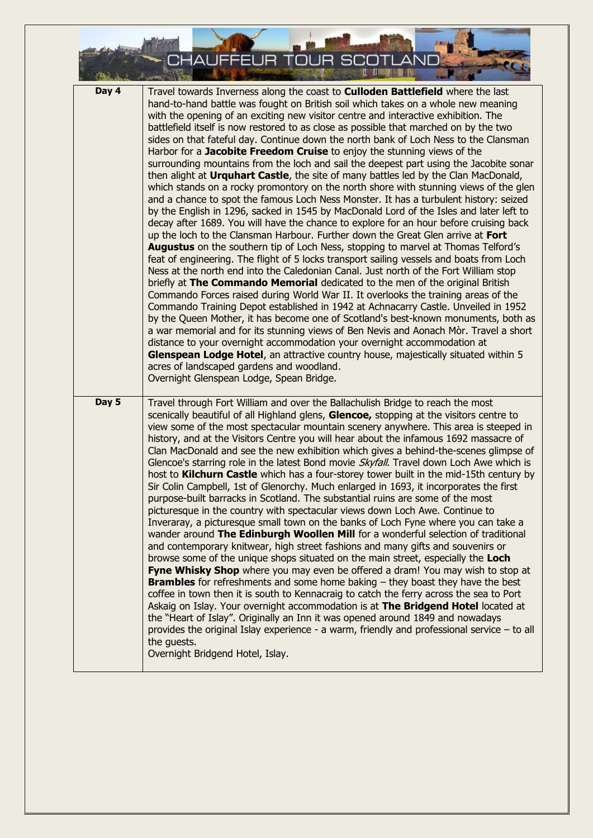

| Day 4 | Travel towards Inverness along the coast to <b>Culloden Battlefield</b> where the last<br>hand-to-hand battle was fought on British soil which takes on a whole new meaning<br>with the opening of an exciting new visitor centre and interactive exhibition. The<br>battlefield itself is now restored to as close as possible that marched on by the two<br>sides on that fateful day. Continue down the north bank of Loch Ness to the Clansman<br>Harbor for a Jacobite Freedom Cruise to enjoy the stunning views of the<br>surrounding mountains from the loch and sail the deepest part using the Jacobite sonar<br>then alight at Urquhart Castle, the site of many battles led by the Clan MacDonald,<br>which stands on a rocky promontory on the north shore with stunning views of the glen<br>and a chance to spot the famous Loch Ness Monster. It has a turbulent history: seized<br>by the English in 1296, sacked in 1545 by MacDonald Lord of the Isles and later left to<br>decay after 1689. You will have the chance to explore for an hour before cruising back<br>up the loch to the Clansman Harbour. Further down the Great Glen arrive at Fort<br><b>Augustus</b> on the southern tip of Loch Ness, stopping to marvel at Thomas Telford's<br>feat of engineering. The flight of 5 locks transport sailing vessels and boats from Loch<br>Ness at the north end into the Caledonian Canal. Just north of the Fort William stop<br>briefly at The Commando Memorial dedicated to the men of the original British<br>Commando Forces raised during World War II. It overlooks the training areas of the<br>Commando Training Depot established in 1942 at Achnacarry Castle. Unveiled in 1952<br>by the Queen Mother, it has become one of Scotland's best-known monuments, both as<br>a war memorial and for its stunning views of Ben Nevis and Aonach Mòr. Travel a short<br>distance to your overnight accommodation your overnight accommodation at<br>Glenspean Lodge Hotel, an attractive country house, majestically situated within 5<br>acres of landscaped gardens and woodland.<br>Overnight Glenspean Lodge, Spean Bridge. |
|-------|-----------------------------------------------------------------------------------------------------------------------------------------------------------------------------------------------------------------------------------------------------------------------------------------------------------------------------------------------------------------------------------------------------------------------------------------------------------------------------------------------------------------------------------------------------------------------------------------------------------------------------------------------------------------------------------------------------------------------------------------------------------------------------------------------------------------------------------------------------------------------------------------------------------------------------------------------------------------------------------------------------------------------------------------------------------------------------------------------------------------------------------------------------------------------------------------------------------------------------------------------------------------------------------------------------------------------------------------------------------------------------------------------------------------------------------------------------------------------------------------------------------------------------------------------------------------------------------------------------------------------------------------------------------------------------------------------------------------------------------------------------------------------------------------------------------------------------------------------------------------------------------------------------------------------------------------------------------------------------------------------------------------------------------------------------------------------------------------------------------------------------------------------------------------|
| Day 5 | Travel through Fort William and over the Ballachulish Bridge to reach the most<br>scenically beautiful of all Highland glens, Glencoe, stopping at the visitors centre to<br>view some of the most spectacular mountain scenery anywhere. This area is steeped in<br>history, and at the Visitors Centre you will hear about the infamous 1692 massacre of<br>Clan MacDonald and see the new exhibition which gives a behind-the-scenes glimpse of<br>Glencoe's starring role in the latest Bond movie Skyfall. Travel down Loch Awe which is<br>host to <b>Kilchurn Castle</b> which has a four-storey tower built in the mid-15th century by<br>Sir Colin Campbell, 1st of Glenorchy. Much enlarged in 1693, it incorporates the first<br>purpose-built barracks in Scotland. The substantial ruins are some of the most<br>picturesque in the country with spectacular views down Loch Awe. Continue to<br>Inveraray, a picturesque small town on the banks of Loch Fyne where you can take a<br>wander around The Edinburgh Woollen Mill for a wonderful selection of traditional<br>and contemporary knitwear, high street fashions and many gifts and souvenirs or<br>browse some of the unique shops situated on the main street, especially the Loch<br>Fyne Whisky Shop where you may even be offered a dram! You may wish to stop at<br><b>Brambles</b> for refreshments and some home baking $-$ they boast they have the best<br>coffee in town then it is south to Kennacraig to catch the ferry across the sea to Port<br>Askaig on Islay. Your overnight accommodation is at The Bridgend Hotel located at<br>the "Heart of Islay". Originally an Inn it was opened around 1849 and nowadays<br>provides the original Islay experience - a warm, friendly and professional service - to all<br>the guests.<br>Overnight Bridgend Hotel, Islay.                                                                                                                                                                                                                                                                                                   |